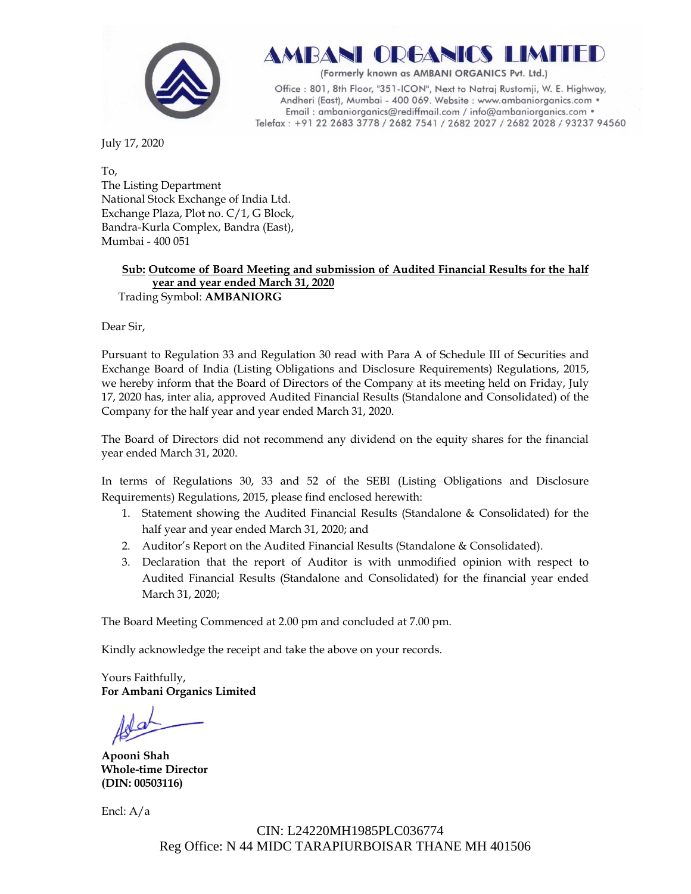

(Formerly known as AMBANI ORGANICS Pvt. Ltd.)

Office: 801, 8th Floor, "351-ICON", Next to Natraj Rustomji, W. E. Highway, Andheri (East), Mumbai - 400 069. Website : www.ambaniorganics.com • Email: ambaniorganics@rediffmail.com / info@ambaniorganics.com . Telefax: +91 22 2683 3778 / 2682 7541 / 2682 2027 / 2682 2028 / 93237 94560

July 17, 2020

To, The Listing Department National Stock Exchange of India Ltd. Exchange Plaza, Plot no. C/1, G Block, Bandra-Kurla Complex, Bandra (East), Mumbai - 400 051

#### **Sub: Outcome of Board Meeting and submission of Audited Financial Results for the half year and year ended March 31, 2020** Trading Symbol: **AMBANIORG**

Dear Sir,

Pursuant to Regulation 33 and Regulation 30 read with Para A of Schedule III of Securities and Exchange Board of India (Listing Obligations and Disclosure Requirements) Regulations, 2015, we hereby inform that the Board of Directors of the Company at its meeting held on Friday, July 17, 2020 has, inter alia, approved Audited Financial Results (Standalone and Consolidated) of the Company for the half year and year ended March 31, 2020.

The Board of Directors did not recommend any dividend on the equity shares for the financial year ended March 31, 2020.

In terms of Regulations 30, 33 and 52 of the SEBI (Listing Obligations and Disclosure Requirements) Regulations, 2015, please find enclosed herewith:

- 1. Statement showing the Audited Financial Results (Standalone & Consolidated) for the half year and year ended March 31, 2020; and
- 2. Auditor's Report on the Audited Financial Results (Standalone & Consolidated).
- 3. Declaration that the report of Auditor is with unmodified opinion with respect to Audited Financial Results (Standalone and Consolidated) for the financial year ended March 31, 2020;

The Board Meeting Commenced at 2.00 pm and concluded at 7.00 pm.

Kindly acknowledge the receipt and take the above on your records.

Yours Faithfully, **For Ambani Organics Limited**

**Apooni Shah Whole-time Director (DIN: [00503116\)](http://www.mca.gov.in/mcafoportal/companyLLPMasterData.do)**

Encl: A/a

 CIN: L24220MH1985PLC036774 Reg Office: N 44 MIDC TARAPIURBOISAR THANE MH 401506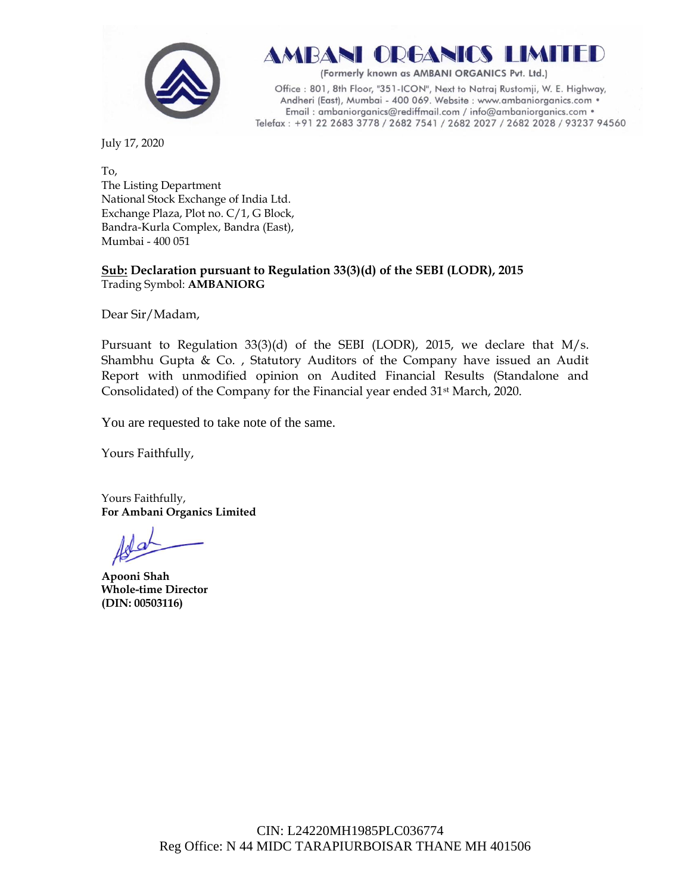

(Formerly known as AMBANI ORGANICS Pvt. Ltd.)

Office: 801, 8th Floor, "351-ICON", Next to Natraj Rustomji, W. E. Highway, Andheri (East), Mumbai - 400 069. Website : www.ambaniorganics.com • Email: ambaniorganics@rediffmail.com / info@ambaniorganics.com . Telefax: +91 22 2683 3778 / 2682 7541 / 2682 2027 / 2682 2028 / 93237 94560

July 17, 2020

To, The Listing Department National Stock Exchange of India Ltd. Exchange Plaza, Plot no. C/1, G Block, Bandra-Kurla Complex, Bandra (East), Mumbai - 400 051

# **Sub: Declaration pursuant to Regulation 33(3)(d) of the SEBI (LODR), 2015** Trading Symbol: **AMBANIORG**

Dear Sir/Madam,

Pursuant to Regulation 33(3)(d) of the SEBI (LODR), 2015, we declare that M/s. Shambhu Gupta  $\&$  Co., Statutory Auditors of the Company have issued an Audit Report with unmodified opinion on Audited Financial Results (Standalone and Consolidated) of the Company for the Financial year ended 31st March, 2020.

You are requested to take note of the same.

Yours Faithfully,

Yours Faithfully, **For Ambani Organics Limited**

**Apooni Shah Whole-time Director (DIN: [00503116\)](http://www.mca.gov.in/mcafoportal/companyLLPMasterData.do)**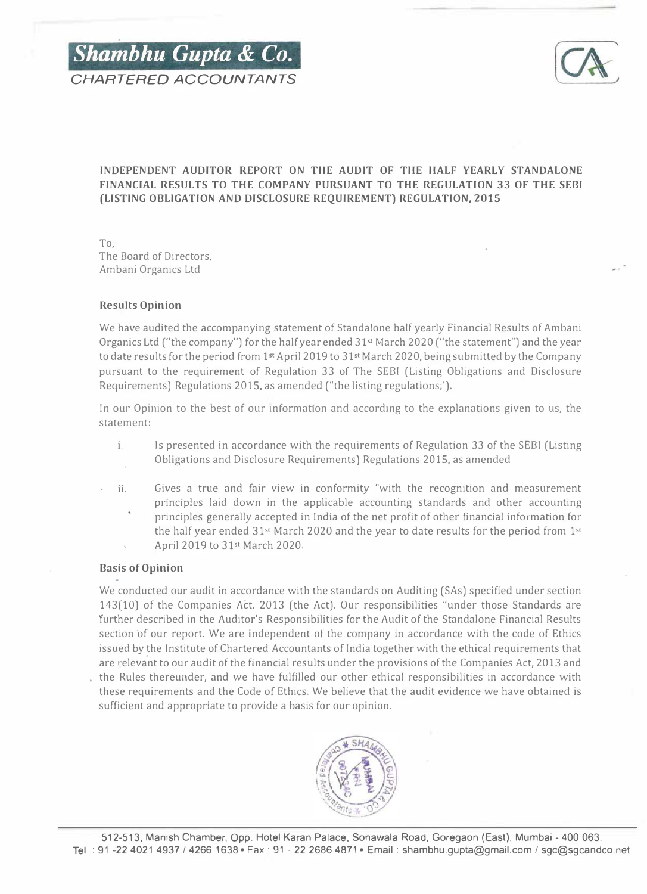



# INDEPENDENT AUDITOR REPORT ON THE AUDIT OF THE HALF YEARLY STANDALONE FINANCIAL RESULTS TO THE COMPANY PURSUANT TO THE REGULATION 33 OF THE SEBI (LISTING OBLIGATION AND DISCLOSURE REQUIREMENT) REGULATION, 2015

To, The Board of Directors, Ambani Organics Ltd

# Results Opinion

We have audited the accompanying statement of Standalone half yearly Financial Results of Ambani Organics Ltd ("the company") for the half year ended 31<sup>st</sup> March 2020 ("the statement") and the year to date results for the period from 1<sup>st</sup> April 2019 to 31<sup>st</sup> March 2020, being submitted by the Company pursuant to the requirement of Regulation 33 of The SEBI (Listing Obligations and Disclosure Requirements) Regulations 2015, as amended ("the listing regulations;').

In our Opinion to the best of our information and according to the explanations given to us, the statement:

- i. Is presented in accordance with the requirements of Regulation 33 of the SEBI (Listing Obligations and Disclosure Requirements) Regulations 2015, as amended
- ii. Gives a true and fair view in conformity "with the recognition and measurement principles laid down in the applicable accounting standards and other accounting principles generally accepted in India of the net profit of other financial information for the half year ended 31st March 2020 and the year to date results for the period from 1st April 2019 to 31st March 2020.

# Basis of Opinion

We conducted our audit in accordance with the standards on Auditing (SAs) specified under section 143(10) of the Companies Act, 2013 (the Act). Our responsibilities "under those Standards are further described in the Auditor's Responsibilities for the Audit of the Standalone Financial Results section of our report. We are independent of the company in accordance with the code of Ethics issued by �he Institute of Chartered Accountants of India together with the ethical requirements that are relevant to our audit of the financial results under the provisions of the Companies Act, 2013 and the Rules thereunder, and we have fulfilled our other ethical responsibilities in accordance with these requirements and the Code of Ethics. We believe that the audit evidence we have obtained is sufficient and appropriate to provide a basis for our opinion.

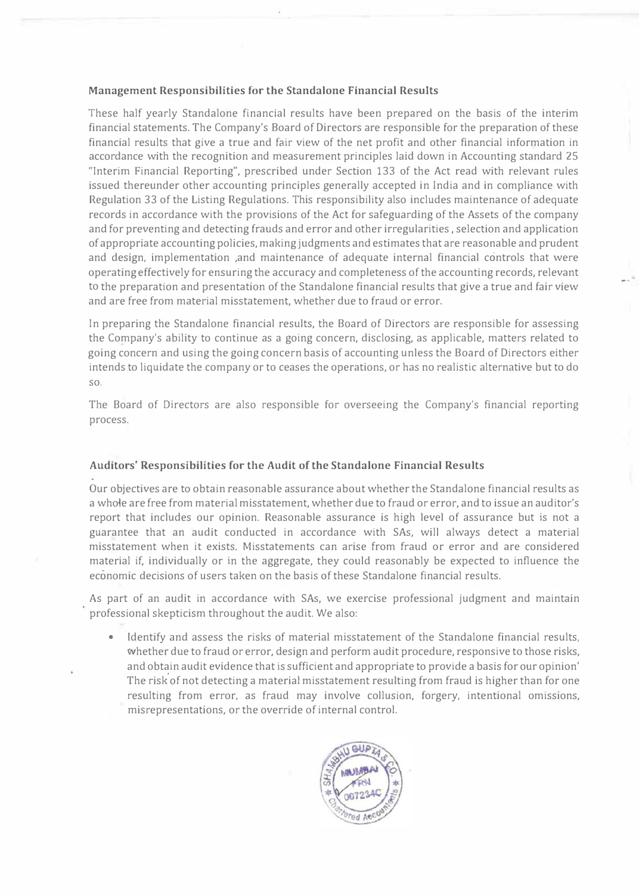# Management Responsibilities for the Standalone Financial Results

These half yearly Standalone financial results have been prepared on the basis of the interim financial statements. The Company's Board of Directors are responsible for the preparation of these financial results that give a true and fair view of the net profit and other financial information in accordance with the recognition and measurement principles laid down in Accounting standard 25 "Interim Financial Reporting", prescribed under Section 133 of the Act read with relevant rules issued thereunder other accounting principles generally accepted in India and in compliance with Regulation 33 of the Listing Regulations. This responsibility also includes maintenance of adequate records in accordance with the provisions of the Act for safeguarding of the Assets of the company and for preventing and detecting frauds and error and other irregularities , selection and application of appropriate accounting policies, making judgments and estimates that are reasonable and prudent and design, implementation ,and maintenance of adequate internal financial controls that were operating effectively for ensuring the accuracy and completeness of the accounting records, relevant to the preparation and presentation of the Standalone financial results that give a true and fair view and are free from material misstatement, whether due to fraud or error.

In preparing the Standalone financial results, the Board of Directors are responsible for assessing the Company's ability to continue as a going concern, disclosing, as applicable, matters related to going concern and using the going concern basis of accounting unless the Board of Directors either intends to liquidate the company or to ceases the operations, or has no realistic alternative but to do so.

The Board of Directors are also responsible for overseeing the Company's financial reporting process.

# Auditors' Responsibilities for the Audit of the Standalone Financial Results

Our objectives are to obtain reasonable assurance about whether the Standalone financial results as a whole are free from material misstatement, whether due to fraud or error, and to issue an auditor's report that includes our opinion. Reasonable assurance is high level of assurance but is not a guarantee that an audit conducted in accordance with SAs, will always detect a material misstatement when it exists. Misstatements can arise from fraud or error and are considered material if, individually or in the aggregate, they could reasonably be expected to influence the economic decisions of users taken on the basis of these Standalone financial results.

As part of an audit in accordance with SAs, we exercise professional judgment and maintain professional skepticism throughout the audit. We also:

• Identify and assess the risks of material misstatement of the Standalone financial results, whether due to fraud or error, design and perform audit procedure, responsive to those risks, and obtain audit evidence that is sufficient and appropriate to provide a basis for our opinion' The risk of not detecting a material misstatement resulting from fraud is higher than for one resulting from error, as fraud may involve collusion, forgery, intentional omissions, misrepresentations, or the override of internal control.

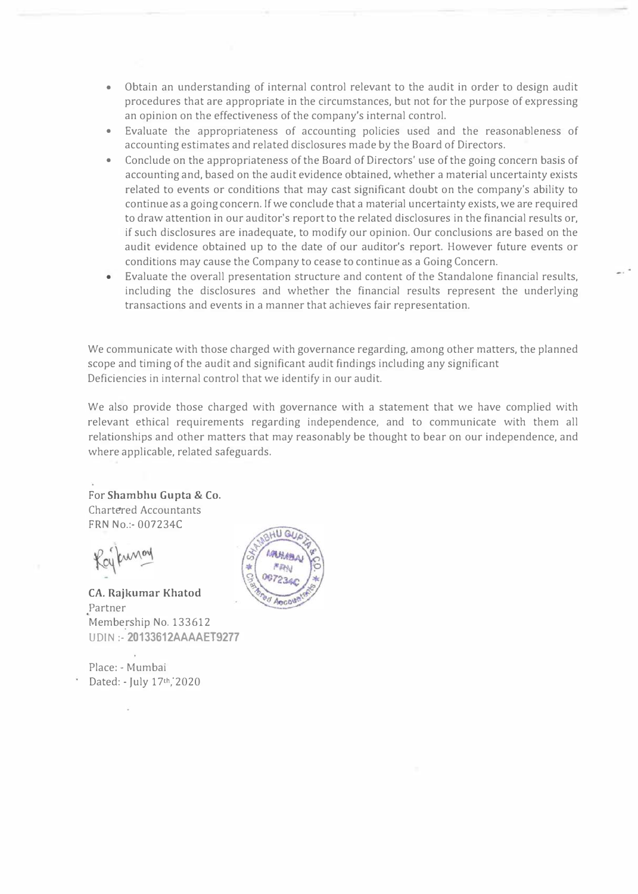- Obtain an understanding of internal control relevant to the audit in order to design audit procedures that are appropriate in the circumstances, but not for the purpose of expressing an opinion on the effectiveness of the company's internal control.
- Evaluate the appropriateness of accounting policies used and the reasonableness of accounting estimates and related disclosures made by the Board of Directors.
- Conclude on the appropriateness of the Board of Directors' use of the going concern basis of accounting and, based on the audit evidence obtained, whether a material uncertainty exists related to events or conditions that may cast significant doubt on the company's ability to continue as a going concern. If we conclude that a material uncertainty exists, we are required to draw attention in our auditor's report to the related disclosures in the financial results or, if such disclosures are inadequate, to modify our opinion. Our conclusions are based on the audit evidence obtained up to the date of our auditor's report. However future events or conditions may cause the Company to cease to continue as a Going Concern.
- Evaluate the overall presentation structure and content of the Standalone financial results, including the disclosures and whether the financial results represent the underlying transactions and events in a manner that achieves fair representation.

We communicate with those charged with governance regarding, among other matters, the planned scope and timing of the audit and significant audit findings including any significant Deficiencies in internal control that we identify in our audit.

We also provide those charged with governance with a statement that we have complied with relevant ethical requirements regarding independence, and to communicate with them all relationships and other matters that may reasonably be thought to bear on our independence, and where applicable, related safeguards.

For Shambhu Gupta & Co. Chartered Accountants FRN No.:-007234C

CA. Rajkumar Khatod Partner Membe rship No. 133612 \_ UDIN :-20133612AAAAET9277

Place: - Mumbai Dated: - July 17th, 2020

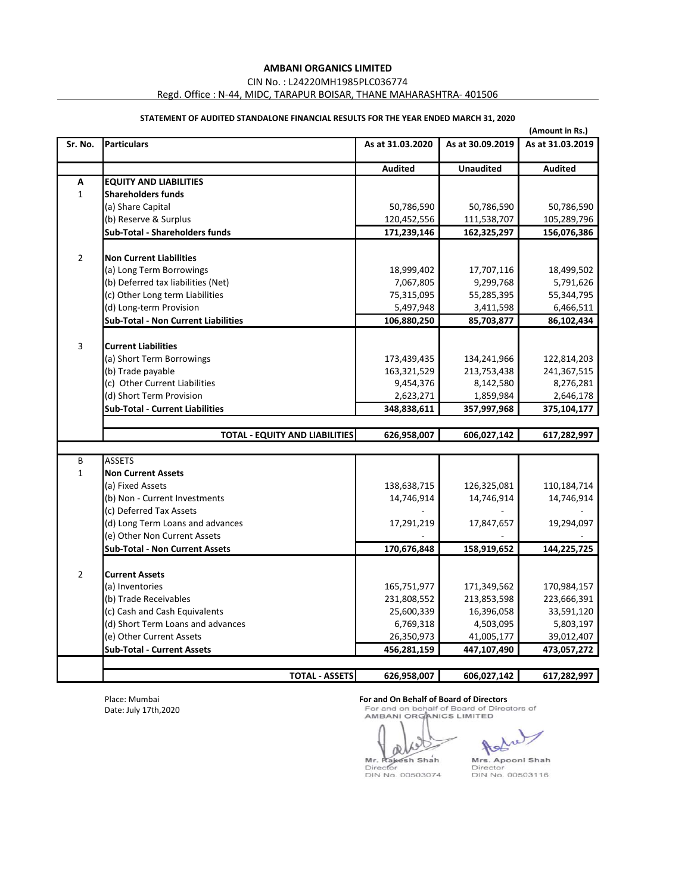CIN No. : L24220MH1985PLC036774

Regd. Office : N-44, MIDC, TARAPUR BOISAR, THANE MAHARASHTRA- 401506

|                | (Amount in Rs.)                            |                  |                  |                  |  |
|----------------|--------------------------------------------|------------------|------------------|------------------|--|
| Sr. No.        | <b>Particulars</b>                         | As at 31.03.2020 | As at 30.09.2019 | As at 31.03.2019 |  |
|                |                                            | <b>Audited</b>   | <b>Unaudited</b> | <b>Audited</b>   |  |
| A              | <b>EQUITY AND LIABILITIES</b>              |                  |                  |                  |  |
| $\mathbf{1}$   | <b>Shareholders funds</b>                  |                  |                  |                  |  |
|                | (a) Share Capital                          | 50,786,590       | 50,786,590       | 50,786,590       |  |
|                | (b) Reserve & Surplus                      | 120,452,556      | 111,538,707      | 105,289,796      |  |
|                | <b>Sub-Total - Shareholders funds</b>      | 171,239,146      | 162,325,297      | 156,076,386      |  |
| $\overline{2}$ | <b>Non Current Liabilities</b>             |                  |                  |                  |  |
|                | (a) Long Term Borrowings                   | 18,999,402       | 17,707,116       | 18,499,502       |  |
|                | (b) Deferred tax liabilities (Net)         | 7,067,805        | 9,299,768        | 5,791,626        |  |
|                | (c) Other Long term Liabilities            | 75,315,095       | 55,285,395       | 55,344,795       |  |
|                | (d) Long-term Provision                    | 5,497,948        | 3,411,598        | 6,466,511        |  |
|                | <b>Sub-Total - Non Current Liabilities</b> | 106,880,250      | 85,703,877       | 86,102,434       |  |
|                |                                            |                  |                  |                  |  |
| 3              | <b>Current Liabilities</b>                 |                  |                  |                  |  |
|                | (a) Short Term Borrowings                  | 173,439,435      | 134,241,966      | 122,814,203      |  |
|                | (b) Trade payable                          | 163,321,529      | 213,753,438      | 241,367,515      |  |
|                | (c) Other Current Liabilities              | 9,454,376        | 8,142,580        | 8,276,281        |  |
|                | (d) Short Term Provision                   | 2,623,271        | 1,859,984        | 2,646,178        |  |
|                | <b>Sub-Total - Current Liabilities</b>     | 348,838,611      | 357,997,968      | 375,104,177      |  |
|                | <b>TOTAL - EQUITY AND LIABILITIES</b>      | 626,958,007      | 606,027,142      | 617,282,997      |  |
|                |                                            |                  |                  |                  |  |
| B              | <b>ASSETS</b>                              |                  |                  |                  |  |
| $\mathbf{1}$   | <b>Non Current Assets</b>                  |                  |                  |                  |  |
|                | (a) Fixed Assets                           | 138,638,715      | 126,325,081      | 110,184,714      |  |
|                | (b) Non - Current Investments              | 14,746,914       | 14,746,914       | 14,746,914       |  |
|                | (c) Deferred Tax Assets                    |                  |                  |                  |  |
|                | (d) Long Term Loans and advances           | 17,291,219       | 17,847,657       | 19,294,097       |  |
|                | (e) Other Non Current Assets               |                  |                  |                  |  |
|                | <b>Sub-Total - Non Current Assets</b>      | 170,676,848      | 158,919,652      | 144,225,725      |  |
| $\overline{2}$ | <b>Current Assets</b>                      |                  |                  |                  |  |
|                | (a) Inventories                            | 165,751,977      | 171,349,562      | 170,984,157      |  |
|                | (b) Trade Receivables                      | 231,808,552      | 213,853,598      | 223,666,391      |  |
|                | (c) Cash and Cash Equivalents              | 25,600,339       | 16,396,058       | 33,591,120       |  |
|                | (d) Short Term Loans and advances          | 6,769,318        | 4,503,095        | 5,803,197        |  |
|                | (e) Other Current Assets                   | 26,350,973       | 41,005,177       | 39,012,407       |  |
|                | <b>Sub-Total - Current Assets</b>          | 456,281,159      | 447,107,490      | 473,057,272      |  |
|                |                                            |                  |                  |                  |  |
|                | <b>TOTAL - ASSETS</b>                      | 626,958,007      | 606,027,142      | 617,282,997      |  |

# **STATEMENT OF AUDITED STANDALONE FINANCIAL RESULTS FOR THE YEAR ENDED MARCH 31, 2020**

Place: Mumbai Date: July 17th,2020

**For and On Behalf of Board of Directors**<br> **For and on behalf of Board of Directors of AMBANI ORGANICS LIMITED** 

alle Mr. Rakesh Shah<br>Director<br>DIN No. 00503074

Director<br>DIN No. 00503116

Mrs. Apooni Shah

Ad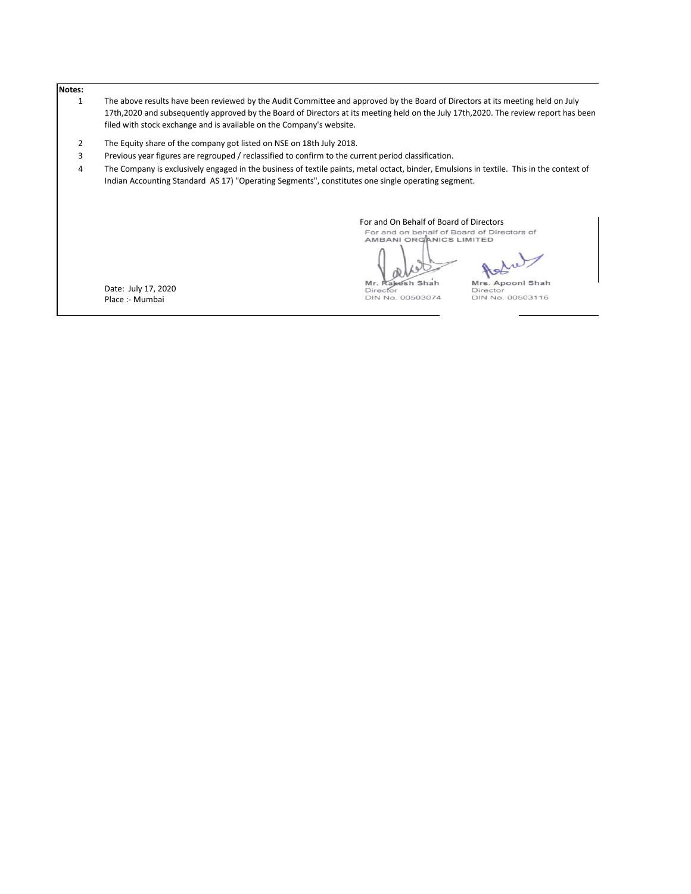#### **Notes:**

- 1 The above results have been reviewed by the Audit Committee and approved by the Board of Directors at its meeting held on July 17th,2020 and subsequently approved by the Board of Directors at its meeting held on the July 17th,2020. The review report has been filed with stock exchange and is available on the Company's website.
- 2 The Equity share of the company got listed on NSE on 18th July 2018.
- 3 Previous year figures are regrouped / reclassified to confirm to the current period classification.
- 4 The Company is exclusively engaged in the business of textile paints, metal octact, binder, Emulsions in textile. This in the context of Indian Accounting Standard AS 17) "Operating Segments", constitutes one single operating segment.

For and On Behalf of Board of Directors<br>For and on behalf of Board of Directors of<br>AMBANI ORGANICS LIMITED

æ

Director

Mrs. Apooni Shah

Date: July 17, 2020 Place :- Mumbai

Mr. Rakesh Shah DIN No. 00503074

Director<br>DIN No. 00503116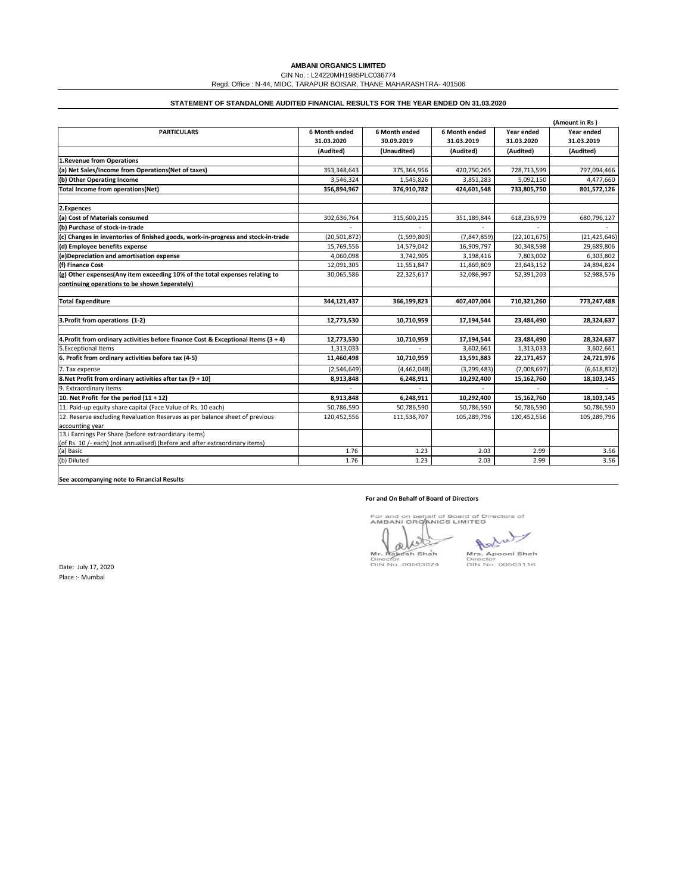|                                                                                      |                |               |               |                | (Amount in Rs) |
|--------------------------------------------------------------------------------------|----------------|---------------|---------------|----------------|----------------|
| <b>PARTICULARS</b>                                                                   | 6 Month ended  | 6 Month ended | 6 Month ended | Year ended     | Year ended     |
|                                                                                      | 31.03.2020     | 30.09.2019    | 31.03.2019    | 31.03.2020     | 31.03.2019     |
|                                                                                      | (Audited)      | (Unaudited)   | (Audited)     | (Audited)      | (Audited)      |
| 1. Revenue from Operations                                                           |                |               |               |                |                |
| (a) Net Sales/Income from Operations(Net of taxes)                                   | 353,348,643    | 375,364,956   | 420,750,265   | 728,713,599    | 797,094,466    |
| (b) Other Operating Income                                                           | 3,546,324      | 1,545,826     | 3,851,283     | 5,092,150      | 4,477,660      |
| <b>Total Income from operations(Net)</b>                                             | 356,894,967    | 376,910,782   | 424,601,548   | 733,805,750    | 801,572,126    |
|                                                                                      |                |               |               |                |                |
| 2.Expences                                                                           |                |               |               |                |                |
| (a) Cost of Materials consumed                                                       | 302,636,764    | 315,600,215   | 351,189,844   | 618,236,979    | 680,796,127    |
| (b) Purchase of stock-in-trade                                                       |                |               |               |                |                |
| $(c)$ Changes in inventories of finished goods, work-in-progress and stock-in-trade  | (20, 501, 872) | (1,599,803)   | (7,847,859)   | (22, 101, 675) | (21, 425, 646) |
| (d) Employee benefits expense                                                        | 15,769,556     | 14,579,042    | 16,909,797    | 30,348,598     | 29,689,806     |
| (e)Depreciation and amortisation expense                                             | 4,060,098      | 3,742,905     | 3,198,416     | 7,803,002      | 6,303,802      |
| (f) Finance Cost                                                                     | 12,091,305     | 11,551,847    | 11,869,809    | 23,643,152     | 24,894,824     |
| $ g $ Other expenses(Any item exceeding 10% of the total expenses relating to        | 30,065,586     | 22,325,617    | 32,086,997    | 52,391,203     | 52,988,576     |
| continuing operations to be shown Seperately)                                        |                |               |               |                |                |
|                                                                                      |                |               |               |                |                |
| <b>Total Expenditure</b>                                                             | 344,121,437    | 366,199,823   | 407,407,004   | 710,321,260    | 773,247,488    |
| 3. Profit from operations (1-2)                                                      | 12,773,530     | 10,710,959    | 17,194,544    | 23,484,490     | 28,324,637     |
|                                                                                      |                |               |               |                |                |
| 4. Profit from ordinary activities before finance Cost & Exceptional Items $(3 + 4)$ | 12,773,530     | 10,710,959    | 17,194,544    | 23,484,490     | 28,324,637     |
| 5. Exceptional Items                                                                 | 1,313,033      |               | 3,602,661     | 1,313,033      | 3,602,661      |
| 6. Profit from ordinary activities before tax (4-5)                                  | 11,460,498     | 10,710,959    | 13,591,883    | 22,171,457     | 24,721,976     |
| 7. Tax expense                                                                       | (2,546,649)    | (4,462,048)   | (3, 299, 483) | (7,008,697)    | (6,618,832)    |
| 8. Net Profit from ordinary activities after tax $(9 + 10)$                          | 8,913,848      | 6,248,911     | 10,292,400    | 15,162,760     | 18,103,145     |
| 9. Extraordinary items                                                               |                |               |               |                |                |
| 10. Net Profit for the period $(11 + 12)$                                            | 8,913,848      | 6,248,911     | 10,292,400    | 15,162,760     | 18,103,145     |
| 11. Paid-up equity share capital (Face Value of Rs. 10 each)                         | 50,786,590     | 50,786,590    | 50,786,590    | 50,786,590     | 50,786,590     |
| 12. Reserve excluding Revaluation Reserves as per balance sheet of previous          | 120,452,556    | 111,538,707   | 105,289,796   | 120,452,556    | 105,289,796    |
| accounting year                                                                      |                |               |               |                |                |
| 13. Earnings Per Share (before extraordinary items)                                  |                |               |               |                |                |
| (of Rs. 10 /- each) (not annualised) (before and after extraordinary items)          |                |               |               |                |                |
| (a) Basic                                                                            | 1.76           | 1.23          | 2.03          | 2.99           | 3.56           |
| (b) Diluted                                                                          | 1.76           | 1.23          | 2.03          | 2.99           | 3.56           |

### **For and On Behalf of Board of Directors**

For and on behalf of Board of Directors of<br>AMBANI ORGANICS LIMITED

OR

1 Ashal

Mr. Rakesh Shah<br>Director<br>DIN No. 00503074

Mrs. Apooni Shah<br>Director<br>DIN No. 00503116

**See accompanying note to Financial Results**

# **AMBANI ORGANICS LIMITED**

CIN No. : L24220MH1985PLC036774

Regd. Office : N-44, MIDC, TARAPUR BOISAR, THANE MAHARASHTRA- 401506

# **STATEMENT OF STANDALONE AUDITED FINANCIAL RESULTS FOR THE YEAR ENDED ON 31.03.2020**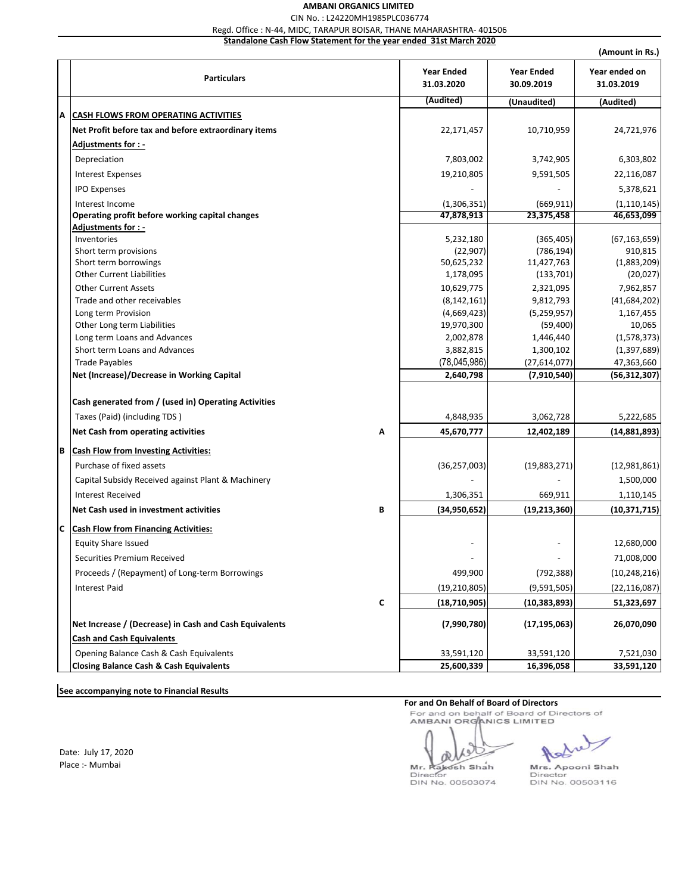# **AMBANI ORGANICS LIMITED**  CIN No. : L24220MH1985PLC036774

Regd. Office : N-44, MIDC, TARAPUR BOISAR, THANE MAHARASHTRA- 401506

**Standalone Cash Flow Statement for the year ended 31st March 2020**

|    |                                                        |   |                                 |                                 | (Amount in Rs.)             |
|----|--------------------------------------------------------|---|---------------------------------|---------------------------------|-----------------------------|
|    | <b>Particulars</b>                                     |   | <b>Year Ended</b><br>31.03.2020 | <b>Year Ended</b><br>30.09.2019 | Year ended on<br>31.03.2019 |
|    |                                                        |   | (Audited)                       | (Unaudited)                     | (Audited)                   |
| A  | <b>CASH FLOWS FROM OPERATING ACTIVITIES</b>            |   |                                 |                                 |                             |
|    | Net Profit before tax and before extraordinary items   |   | 22,171,457                      | 10,710,959                      | 24,721,976                  |
|    | Adjustments for : -                                    |   |                                 |                                 |                             |
|    | Depreciation                                           |   | 7,803,002                       | 3,742,905                       | 6,303,802                   |
|    | <b>Interest Expenses</b>                               |   | 19,210,805                      | 9,591,505                       | 22,116,087                  |
|    | <b>IPO Expenses</b>                                    |   |                                 |                                 | 5,378,621                   |
|    | Interest Income                                        |   | (1,306,351)                     |                                 | (1, 110, 145)               |
|    | Operating profit before working capital changes        |   | 47,878,913                      | (669, 911)<br>23,375,458        | 46,653,099                  |
|    | <b>Adjustments for : -</b>                             |   |                                 |                                 |                             |
|    | Inventories                                            |   | 5,232,180                       | (365, 405)                      | (67, 163, 659)              |
|    | Short term provisions                                  |   | (22, 907)                       | (786, 194)                      | 910,815                     |
|    | Short term borrowings                                  |   | 50,625,232                      | 11,427,763                      | (1,883,209)                 |
|    | <b>Other Current Liabilities</b>                       |   | 1,178,095                       | (133, 701)                      | (20, 027)                   |
|    | <b>Other Current Assets</b>                            |   | 10,629,775                      | 2,321,095                       | 7,962,857                   |
|    | Trade and other receivables                            |   | (8, 142, 161)                   | 9,812,793                       | (41, 684, 202)              |
|    | Long term Provision                                    |   | (4,669,423)                     | (5, 259, 957)                   | 1,167,455                   |
|    | Other Long term Liabilities                            |   | 19,970,300                      | (59, 400)                       | 10,065                      |
|    | Long term Loans and Advances                           |   | 2,002,878                       | 1,446,440                       | (1,578,373)                 |
|    | Short term Loans and Advances                          |   | 3,882,815                       | 1,300,102                       | (1,397,689)                 |
|    | <b>Trade Payables</b>                                  |   | (78, 045, 986)                  | (27, 614, 077)                  | 47,363,660                  |
|    | Net (Increase)/Decrease in Working Capital             |   | 2,640,798                       | (7,910,540)                     | (56, 312, 307)              |
|    | Cash generated from / (used in) Operating Activities   |   |                                 |                                 |                             |
|    | Taxes (Paid) (including TDS)                           |   | 4,848,935                       | 3,062,728                       | 5,222,685                   |
|    | Net Cash from operating activities                     | A | 45,670,777                      | 12,402,189                      | (14, 881, 893)              |
|    |                                                        |   |                                 |                                 |                             |
| ΙB | <b>Cash Flow from Investing Activities:</b>            |   |                                 |                                 |                             |
|    | Purchase of fixed assets                               |   | (36, 257, 003)                  | (19,883,271)                    | (12, 981, 861)              |
|    | Capital Subsidy Received against Plant & Machinery     |   |                                 |                                 | 1,500,000                   |
|    | <b>Interest Received</b>                               |   | 1,306,351                       | 669,911                         | 1,110,145                   |
|    | Net Cash used in investment activities                 | B | (34,950,652)                    | (19, 213, 360)                  | (10, 371, 715)              |
| Iс | <b>Cash Flow from Financing Activities:</b>            |   |                                 |                                 |                             |
|    | <b>Equity Share Issued</b>                             |   |                                 |                                 | 12,680,000                  |
|    | Securities Premium Received                            |   |                                 |                                 | 71,008,000                  |
|    | Proceeds / (Repayment) of Long-term Borrowings         |   | 499,900                         | (792, 388)                      | (10, 248, 216)              |
|    |                                                        |   |                                 |                                 |                             |
|    | <b>Interest Paid</b>                                   |   | (19, 210, 805)                  | (9,591,505)                     | (22, 116, 087)              |
|    |                                                        | C | (18, 710, 905)                  | (10, 383, 893)                  | 51,323,697                  |
|    | Net Increase / (Decrease) in Cash and Cash Equivalents |   | (7,990,780)                     | (17, 195, 063)                  | 26,070,090                  |
|    | <b>Cash and Cash Equivalents</b>                       |   |                                 |                                 |                             |
|    | Opening Balance Cash & Cash Equivalents                |   | 33,591,120                      | 33,591,120                      | 7,521,030                   |
|    | <b>Closing Balance Cash &amp; Cash Equivalents</b>     |   | 25,600,339                      | 16,396,058                      | 33,591,120                  |

**See accompanying note to Financial Results**

Date: July 17, 2020 Place :- Mumbai

**For and On Behalf of Board of Directors**<br>For and on behalf of Board of Directors of<br>AMBANI ORGANICS LIMITED

œ

Mr. Rakesh Shah Mrs. Apooni Shah<br>Director Director DIN No. 00503074

Astral

DIN No. 00503116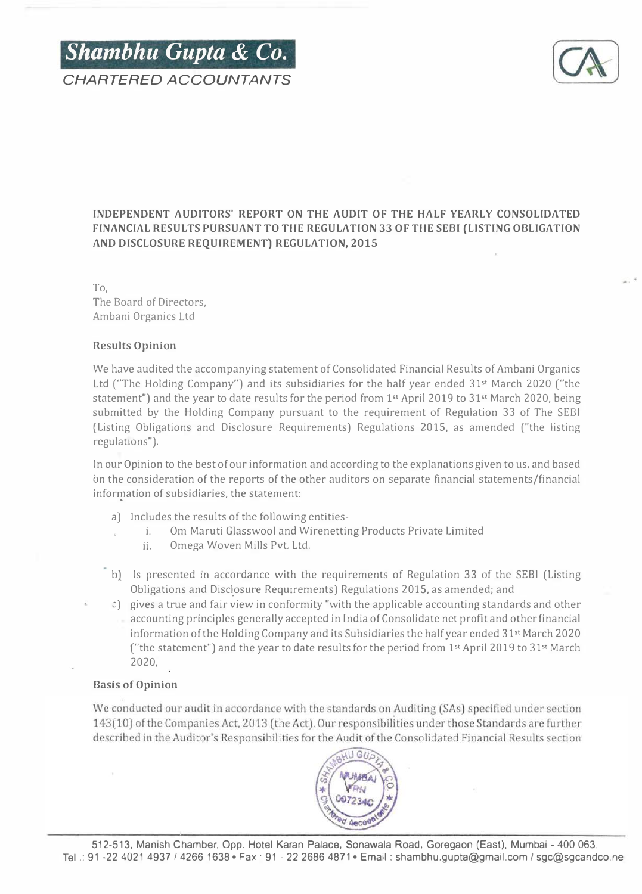



# INDEPENDENT AUDITORS' REPORT ON THE AUDIT OF THE HALF YEARLY CONSOLIDATED FINANCIAL RESULTS PURSUANT TO THE REGULATION 33 OF THE SEBI (LISTING OBLIGATION AND DISCLOSURE REQUIREMENT) REGULATION, 2015

To, The Board of Directors, Ambani Organics Ltd

# Results Opinion

We have audited the accompanying statement of Consolidated Financial Results of Ambani Organics Ltd ("The Holding Company") and its subsidiaries for the half year ended 31<sup>st</sup> March 2020 ("the statement") and the year to date results for the period from 1<sup>st</sup> April 2019 to 31<sup>st</sup> March 2020, being submitted by the Holding Company pursuant to the requirement of Regulation 33 of The SEBI (Listing Obligations and Disclosure Requirements) Regulations 2015, as amended ("the listing regulations").

In our Opinion to the best of our information and according to the explanations given to us, and based bn the consideration of the reports of the other auditors on separate financial statements/financial information of subsidiaries, the statement:

- a) Includes the results of the following entities
	- i. Om Maruti Glasswool and Wirenetting Products Private Limited
		- ii. Omega Woven Mills Pvt. Ltd.
- b) Is presented in accordance with the requirements of Regulation 33 of the SEBI (Listing Obligations and Disclosure Requirements) Regulations 2015, as amended; and
- c) gives a true and fair view in conformity "with the applicable accounting standards and other accounting principles generally accepted in India of Consolidate net profit and other financial information of the Holding Company and its Subsidiaries the half year ended 31st March 2020 ("the statement") and the year to date results for the period from  $1<sup>st</sup>$  April 2019 to 31st March 2020,

# Basis of Opinion

We conducted our audit in accordance with the standards on Auditing (SAs) specified under section 143(10) of the Companies Act, 2013 (the Act). Our responsibilities under those Standards are further described in the Auditor's Responsibilities for the Audit of the Consolidated Financial Results section

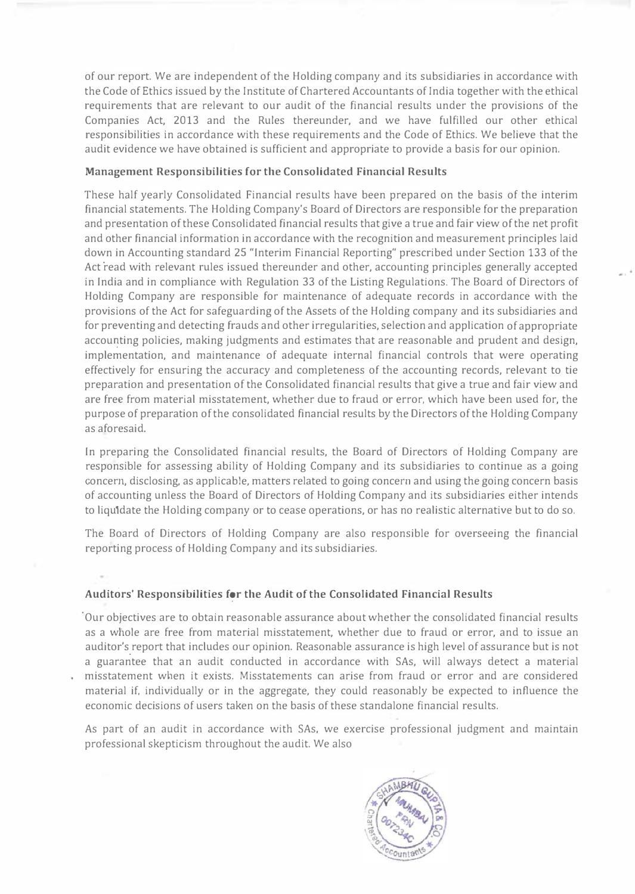of our report. We are independent of the Holding company and its subsidiaries in accordance with the Code of Ethics issued by the Institute of Chartered Accountants of India together with the ethical requirements that are relevant to our audit of the financial results under the provisions of the Companies Act, 2013 and the Rules thereunder, and we have fulfilled our other ethical responsibilities in accordance with these requirements and the Code of Ethics. We believe that the audit evidence we have obtained is sufficient and appropriate to provide a basis for our opinion.

# Management Responsibilities for the Consolidated Financial Results

These half yearly Consolidated Financial results have been prepared on the basis of the interim financial statements. The Holding Company's Board of Directors are responsible for the preparation and presentation of these Consolidated financial results that give a true and fair view of the net profit and other financial information in accordance with the recognition and measurement principles laid down in Accounting standard 25 "Interim Financial Reporting" prescribed under Section 133 of the Act read with relevant rules issued thereunder and other, accounting principles generally accepted in India and in compliance with Regulation 33 of the Listing Regulations. The Board of Directors of Holding Company are responsible for maintenance of adequate records in accordance with the provisions of the Act for safeguarding of the Assets of the Holding company and its subsidiaries and for preventing and detecting frauds and other irregularities, selection and application of appropriate accounting policies, making judgments and estimates that are reasonable and prudent and design, implementation, and maintenance of adequate internal financial controls that were operating effectively for ensuring the accuracy and completeness of the accounting records, relevant to tie preparation and presentation of the Consolidated financial results that give a true and fair view and are free from material misstatement, whether due to fraud or error, which have been used for, the purpose of preparation of the consolidated financial results by the Directors of the Holding Company as aforesaid.

In preparing the Consolidated financial results, the Board of Directors of Holding Company are responsible for assessing ability of Holding Company and its subsidiaries to continue as a going concern, disclosing, as applicable, matters related to going concern and using the going concern basis of accounting unless the Board of Directors of Holding Company and its subsidiaries either intends to liquidate the Holding company or to cease operations, or has no realistic alternative but to do so.

The Board of Directors of Holding Company are also responsible for overseeing the financial reporting process of Holding Company and its subsidiaries.

# Auditors' Responsibilities for the Audit of the Consolidated Financial Results

·Our objectives are to obtain reasonable assurance about whether the consolidated financial results as a whole are free from material misstatement, whether due to fraud or error, and to issue an auditor's . report that includes our opinion. Reasonable assurance is high level of assurance but is not a guarantee that an audit conducted in accordance with SAs, will always detect a material misstatement when it exists. Misstatements can arise from fraud or error and are considered material if, individually or in the aggregate, they could reasonably be expected to influence the economic decisions of users taken on the basis of these standalone financial results.

As part of an audit in accordance with SAs, we exercise professional judgment and maintain professional skepticism throughout the audit. We also

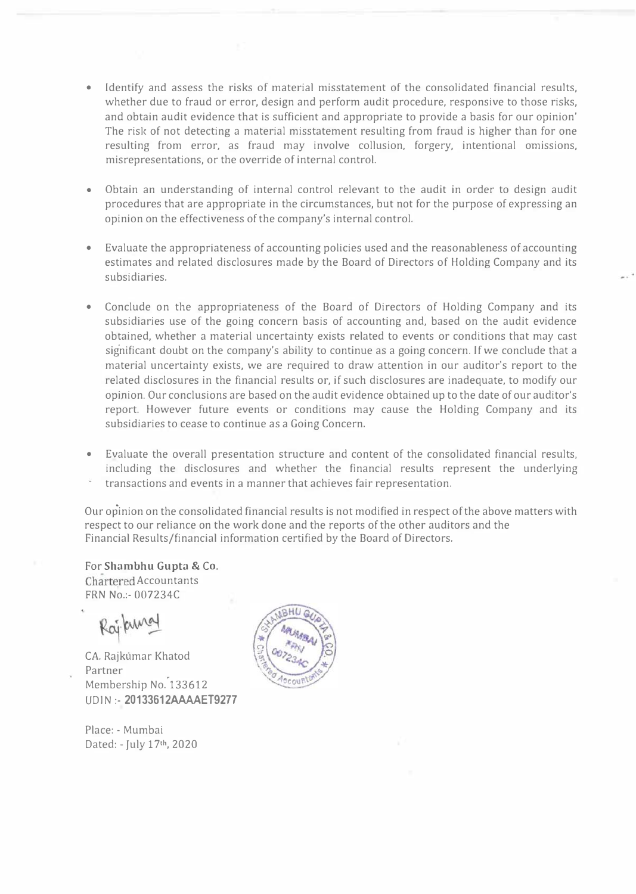- Identify and assess the risks of material misstatement of the consolidated financial results, whether due to fraud or error, design and perform audit procedure, responsive to those risks, and obtain audit evidence that is sufficient and appropriate to provide a basis for our opinion' The risk of not detecting a material misstatement resulting from fraud is higher than for one resulting from error, as fraud may involve collusion, forgery, intentional omissions, misrepresentations, or the override of internal control.
- Obtain an understanding of internal control relevant to the audit in order to design audit procedures that are appropriate in the circumstances, but not for the purpose of expressing an opinion on the effectiveness of the company's internal control.
- Evaluate the appropriateness of accounting policies used and the reasonableness of accounting estimates and related disclosures made by the Board of Directors of Holding Company and its subsidiaries.
- Conclude on the appropriateness of the Board of Directors of Holding Company and its subsidiaries use of the going concern basis of accounting and, based on the audit evidence obtained, whether a material uncertainty exists related to events or conditions that may cast significant doubt on the company's ability to continue as a going concern. If we conclude that a material uncertainty exists, we are required to draw attention in our auditor's report to the related disclosures in the financial results or, if such disclosures are inadequate, to modify our opinion. Our conclusions are based on the audit evidence obtained up to the date of our auditor's report. However future events or conditions may cause the Holding Company and its subsidiaries to cease to continue as a Going Concern.
- Evaluate the overall presentation structure and content of the consolidated financial results, including the disclosures and whether the financial results represent the underlying transactions and events in a manner that achieves fair representation.

Our opinion on the consolidated financial results is not modified in respect of the above matters with respect to our reliance on the work done and the reports of the other auditors and the Financial Results/financial information certified by the Board of Directors.

For Shambhu Gupta & Co. Chartered Accountants FRN No.:- 007234C

CA. Rajkumar Khatod Partner Membership No. 133612 UDIN :- 20133612AAAAET9277

Place: - Mumbai Dated: - July 17th, 2020

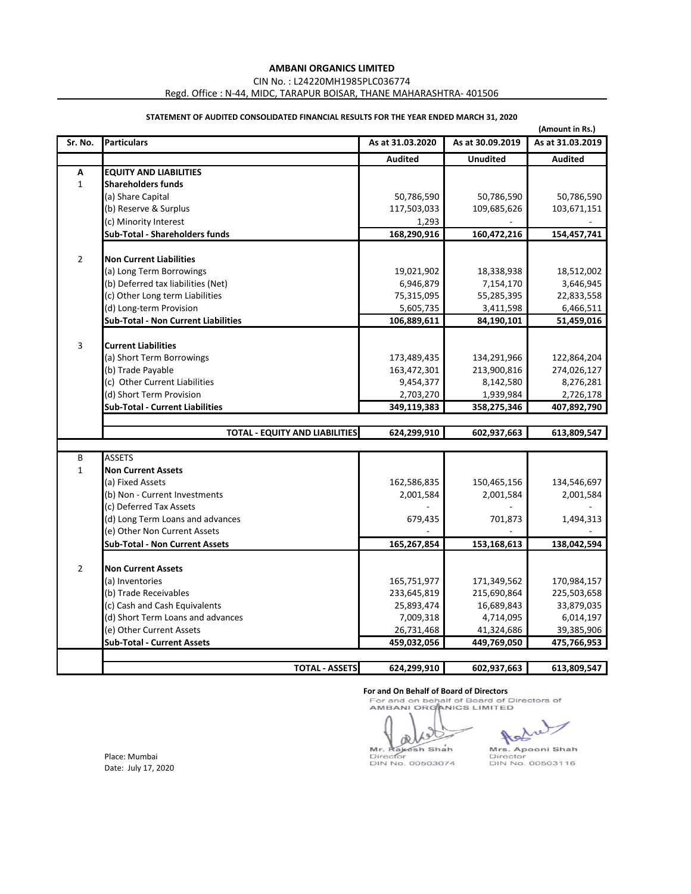CIN No. : L24220MH1985PLC036774

Regd. Office : N-44, MIDC, TARAPUR BOISAR, THANE MAHARASHTRA- 401506

|                           |                                            |                  |                  | (Amount in Rs.)  |
|---------------------------|--------------------------------------------|------------------|------------------|------------------|
| Sr. No.                   | <b>Particulars</b>                         | As at 31.03.2020 | As at 30.09.2019 | As at 31.03.2019 |
|                           |                                            | <b>Audited</b>   | <b>Unudited</b>  | <b>Audited</b>   |
| $\boldsymbol{\mathsf{A}}$ | <b>EQUITY AND LIABILITIES</b>              |                  |                  |                  |
| $\mathbf{1}$              | <b>Shareholders funds</b>                  |                  |                  |                  |
|                           | (a) Share Capital                          | 50,786,590       | 50,786,590       | 50,786,590       |
|                           | (b) Reserve & Surplus                      | 117,503,033      | 109,685,626      | 103,671,151      |
|                           | (c) Minority Interest                      | 1,293            |                  |                  |
|                           | <b>Sub-Total - Shareholders funds</b>      | 168,290,916      | 160,472,216      | 154,457,741      |
|                           |                                            |                  |                  |                  |
| $\overline{2}$            | <b>Non Current Liabilities</b>             |                  |                  |                  |
|                           | (a) Long Term Borrowings                   | 19,021,902       | 18,338,938       | 18,512,002       |
|                           | (b) Deferred tax liabilities (Net)         | 6,946,879        | 7,154,170        | 3,646,945        |
|                           | (c) Other Long term Liabilities            | 75,315,095       | 55,285,395       | 22,833,558       |
|                           | (d) Long-term Provision                    | 5,605,735        | 3,411,598        | 6,466,511        |
|                           | <b>Sub-Total - Non Current Liabilities</b> | 106,889,611      | 84,190,101       | 51,459,016       |
|                           |                                            |                  |                  |                  |
| 3                         | <b>Current Liabilities</b>                 |                  |                  |                  |
|                           | (a) Short Term Borrowings                  | 173,489,435      | 134,291,966      | 122,864,204      |
|                           | (b) Trade Payable                          | 163,472,301      | 213,900,816      | 274,026,127      |
|                           | (c) Other Current Liabilities              | 9,454,377        | 8,142,580        | 8,276,281        |
|                           | (d) Short Term Provision                   | 2,703,270        | 1,939,984        | 2,726,178        |
|                           | <b>Sub-Total - Current Liabilities</b>     | 349,119,383      | 358,275,346      | 407,892,790      |
|                           | <b>TOTAL - EQUITY AND LIABILITIES</b>      | 624,299,910      | 602,937,663      | 613,809,547      |
|                           |                                            |                  |                  |                  |
| B                         | <b>ASSETS</b>                              |                  |                  |                  |
| $\mathbf{1}$              | <b>Non Current Assets</b>                  |                  |                  |                  |
|                           | (a) Fixed Assets                           | 162,586,835      | 150,465,156      | 134,546,697      |
|                           | (b) Non - Current Investments              | 2,001,584        | 2,001,584        | 2,001,584        |
|                           | (c) Deferred Tax Assets                    |                  |                  |                  |
|                           | (d) Long Term Loans and advances           | 679,435          | 701,873          | 1,494,313        |
|                           | (e) Other Non Current Assets               |                  |                  |                  |
|                           | <b>Sub-Total - Non Current Assets</b>      | 165,267,854      | 153,168,613      | 138,042,594      |
|                           |                                            |                  |                  |                  |
| $\overline{2}$            | <b>Non Current Assets</b>                  |                  |                  |                  |
|                           | (a) Inventories                            | 165,751,977      | 171,349,562      | 170,984,157      |
|                           | (b) Trade Receivables                      | 233,645,819      | 215,690,864      | 225,503,658      |
|                           | (c) Cash and Cash Equivalents              | 25,893,474       | 16,689,843       | 33,879,035       |
|                           | (d) Short Term Loans and advances          | 7,009,318        | 4,714,095        | 6,014,197        |
|                           | (e) Other Current Assets                   | 26,731,468       | 41,324,686       | 39,385,906       |
|                           | <b>Sub-Total - Current Assets</b>          | 459,032,056      | 449,769,050      | 475,766,953      |
|                           |                                            |                  |                  |                  |
|                           | <b>TOTAL - ASSETS</b>                      | 624,299,910      | 602,937,663      | 613,809,547      |

# **STATEMENT OF AUDITED CONSOLIDATED FINANCIAL RESULTS FOR THE YEAR ENDED MARCH 31, 2020**

**For and On Behalf of Board of Directors**<br>For and on behalf of Board of Directors of<br>AMBANI ORGANICS LIMITED

ď Mr. Rakesh Shah<br>Director<br>DIN No. 00503074

Mrs. Apooni Shah Director<br>DIN No. 00503116

Place: Mumbai Date: July 17, 2020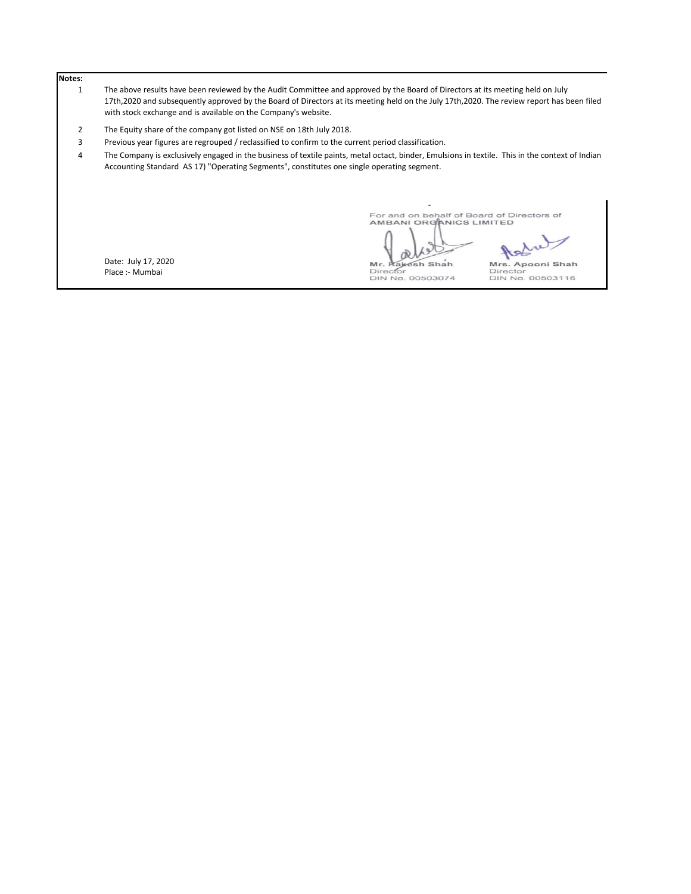# **Notes:**

- 1 The above results have been reviewed by the Audit Committee and approved by the Board of Directors at its meeting held on July 17th,2020 and subsequently approved by the Board of Directors at its meeting held on the July 17th,2020. The review report has been filed with stock exchange and is available on the Company's website.
- 2 The Equity share of the company got listed on NSE on 18th July 2018.
- 3 Previous year figures are regrouped / reclassified to confirm to the current period classification.

4 The Company is exclusively engaged in the business of textile paints, metal octact, binder, Emulsions in textile. This in the context of Indian Accounting Standard AS 17) "Operating Segments", constitutes one single operating segment.

Date: July 17, 2020 Place :- Mumbai

For and on behalf of Board of Directors of<br>AMBANI ORGANICS LIMITED

oR

Asha

Mr. Rakesh Shah<br>Director<br>DIN No. 00503074

Mrs. Apooni Shah<br>Director<br>DIN No. 00503116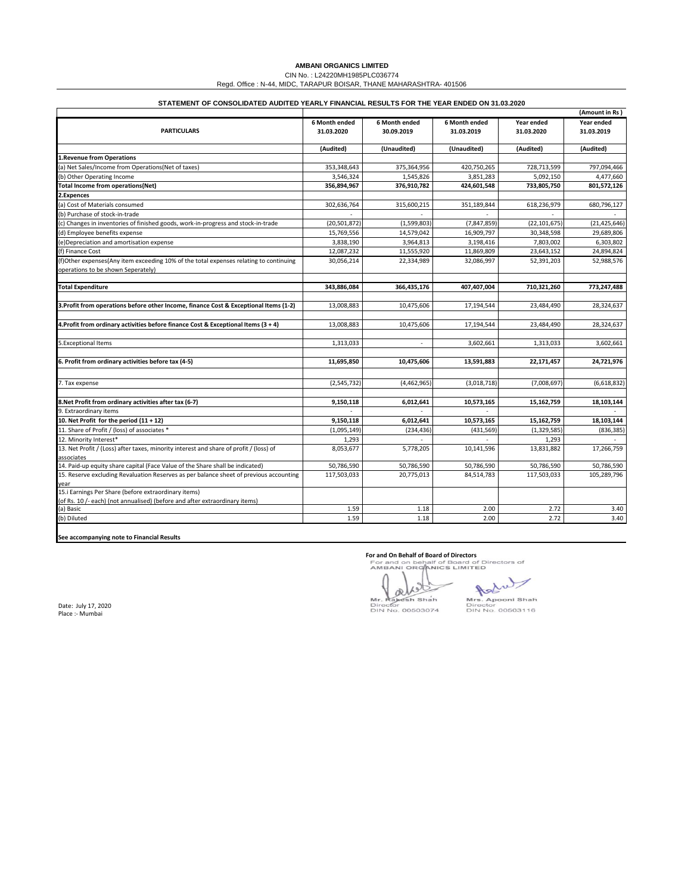|                                                                                          | (Amount in Rs)       |               |               |                |                |
|------------------------------------------------------------------------------------------|----------------------|---------------|---------------|----------------|----------------|
|                                                                                          | <b>6 Month ended</b> | 6 Month ended | 6 Month ended | Year ended     | Year ended     |
| <b>PARTICULARS</b>                                                                       | 31.03.2020           | 30.09.2019    | 31.03.2019    | 31.03.2020     | 31.03.2019     |
|                                                                                          | (Audited)            | (Unaudited)   | (Unaudited)   | (Audited)      | (Audited)      |
| <b>1. Revenue from Operations</b>                                                        |                      |               |               |                |                |
| (a) Net Sales/Income from Operations(Net of taxes)                                       | 353,348,643          | 375,364,956   | 420,750,265   | 728,713,599    | 797,094,466    |
| (b) Other Operating Income                                                               | 3,546,324            | 1,545,826     | 3,851,283     | 5,092,150      | 4,477,660      |
| Total Income from operations(Net)                                                        | 356,894,967          | 376,910,782   | 424,601,548   | 733,805,750    | 801,572,126    |
| 2. Expences                                                                              |                      |               |               |                |                |
| (a) Cost of Materials consumed                                                           | 302,636,764          | 315,600,215   | 351,189,844   | 618,236,979    | 680,796,127    |
| (b) Purchase of stock-in-trade                                                           |                      |               |               |                |                |
| (c) Changes in inventories of finished goods, work-in-progress and stock-in-trade        | (20, 501, 872)       | (1,599,803)   | (7,847,859)   | (22, 101, 675) | (21, 425, 646) |
| (d) Employee benefits expense                                                            | 15,769,556           | 14,579,042    | 16,909,797    | 30,348,598     | 29,689,806     |
| (e)Depreciation and amortisation expense                                                 | 3,838,190            | 3,964,813     | 3,198,416     | 7,803,002      | 6,303,802      |
| (f) Finance Cost                                                                         | 12,087,232           | 11,555,920    | 11,869,809    | 23,643,152     | 24,894,824     |
| (f)Other expenses(Any item exceeding 10% of the total expenses relating to continuing    | 30,056,214           | 22,334,989    | 32,086,997    | 52,391,203     | 52,988,576     |
| operations to be shown Seperately)                                                       |                      |               |               |                |                |
|                                                                                          |                      |               |               |                |                |
| <b>Total Expenditure</b>                                                                 | 343,886,084          | 366,435,176   | 407,407,004   | 710,321,260    | 773,247,488    |
|                                                                                          |                      |               |               |                |                |
| 3. Profit from operations before other Income, finance Cost & Exceptional Items (1-2)    | 13,008,883           | 10,475,606    | 17,194,544    | 23,484,490     | 28,324,637     |
| 4. Profit from ordinary activities before finance Cost & Exceptional Items $(3 + 4)$     | 13,008,883           | 10,475,606    | 17,194,544    | 23,484,490     | 28,324,637     |
|                                                                                          |                      |               |               |                |                |
| 5. Exceptional Items                                                                     | 1,313,033            |               | 3,602,661     | 1,313,033      | 3,602,661      |
| 6. Profit from ordinary activities before tax (4-5)                                      | 11,695,850           | 10,475,606    | 13,591,883    | 22,171,457     | 24,721,976     |
| 7. Tax expense                                                                           | (2,545,732)          | (4,462,965)   | (3,018,718)   | (7,008,697)    | (6,618,832)    |
| 8. Net Profit from ordinary activities after tax (6-7)                                   | 9,150,118            | 6,012,641     | 10,573,165    | 15,162,759     | 18,103,144     |
| 9. Extraordinary items                                                                   |                      |               |               |                |                |
| 10. Net Profit for the period $(11 + 12)$                                                | 9,150,118            | 6,012,641     | 10,573,165    | 15,162,759     | 18,103,144     |
| 11. Share of Profit / (loss) of associates *                                             | (1,095,149)          | (234, 436)    | (431, 569)    | (1,329,585)    | (836, 385)     |
| 12. Minority Interest*                                                                   | 1,293                |               |               | 1,293          |                |
| 13. Net Profit / (Loss) after taxes, minority interest and share of profit / (loss) of   | 8,053,677            | 5,778,205     | 10,141,596    | 13,831,882     | 17,266,759     |
| associates                                                                               |                      |               |               |                |                |
| 14. Paid-up equity share capital (Face Value of the Share shall be indicated)            | 50,786,590           | 50,786,590    | 50,786,590    | 50,786,590     | 50,786,590     |
| 15. Reserve excluding Revaluation Reserves as per balance sheet of previous accounting   | 117,503,033          | 20,775,013    | 84,514,783    | 117,503,033    | 105,289,796    |
| year                                                                                     |                      |               |               |                |                |
| 15.i Earnings Per Share (before extraordinary items)                                     |                      |               |               |                |                |
| (of Rs. 10 /- each) (not annualised) (before and after extraordinary items)<br>(a) Basic | 1.59                 | 1.18          | 2.00          | 2.72           | 3.40           |
| (b) Diluted                                                                              | 1.59                 | 1.18          | 2.00          | 2.72           | 3.40           |
|                                                                                          |                      |               |               |                |                |

**See accompanying note to Financial Results**

**For and On Behalf of Board of Directors**<br>For and on behalf of Board of Directors of<br>AMBANI ORGANICS LIMITED

als Mr. Rakesh Shah

Add Mrs. Apooni Shah<br>Director

Place :- Mumbai

DIN No. 00503074 DIN No. 00503116

# **AMBANI ORGANICS LIMITED**

CIN No. : L24220MH1985PLC036774

Regd. Office : N-44, MIDC, TARAPUR BOISAR, THANE MAHARASHTRA- 401506

# **STATEMENT OF CONSOLIDATED AUDITED YEARLY FINANCIAL RESULTS FOR THE YEAR ENDED ON 31.03.2020**